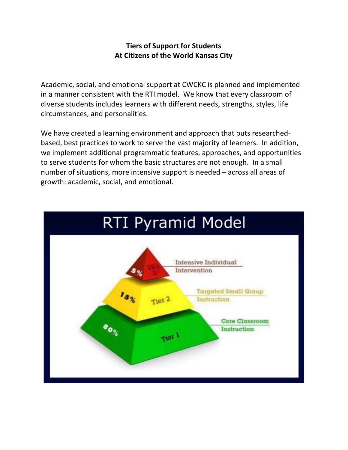## **Tiers of Support for Students At Citizens of the World Kansas City**

Academic, social, and emotional support at CWCKC is planned and implemented in a manner consistent with the RTI model. We know that every classroom of diverse students includes learners with different needs, strengths, styles, life circumstances, and personalities.

We have created a learning environment and approach that puts researchedbased, best practices to work to serve the vast majority of learners. In addition, we implement additional programmatic features, approaches, and opportunities to serve students for whom the basic structures are not enough. In a small number of situations, more intensive support is needed – across all areas of growth: academic, social, and emotional.